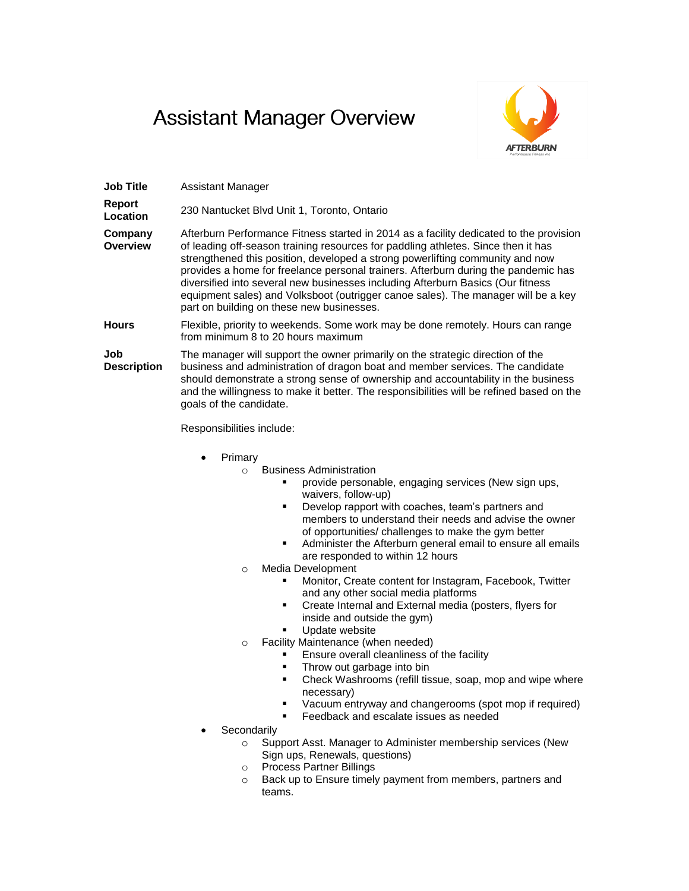## **Assistant Manager Overview**



| <b>Job Title</b>           | Assistant Manager                                                                                                                                                                                                                                                                                                                                                                                                                                                                                                                                                       |
|----------------------------|-------------------------------------------------------------------------------------------------------------------------------------------------------------------------------------------------------------------------------------------------------------------------------------------------------------------------------------------------------------------------------------------------------------------------------------------------------------------------------------------------------------------------------------------------------------------------|
| Report<br>Location         | 230 Nantucket Blvd Unit 1, Toronto, Ontario                                                                                                                                                                                                                                                                                                                                                                                                                                                                                                                             |
| Company<br><b>Overview</b> | Afterburn Performance Fitness started in 2014 as a facility dedicated to the provision<br>of leading off-season training resources for paddling athletes. Since then it has<br>strengthened this position, developed a strong powerlifting community and now<br>provides a home for freelance personal trainers. Afterburn during the pandemic has<br>diversified into several new businesses including Afterburn Basics (Our fitness<br>equipment sales) and Volksboot (outrigger canoe sales). The manager will be a key<br>part on building on these new businesses. |
| <b>Hours</b>               | Flexible, priority to weekends. Some work may be done remotely. Hours can range<br>from minimum 8 to 20 hours maximum                                                                                                                                                                                                                                                                                                                                                                                                                                                   |
| Job<br><b>Description</b>  | The manager will support the owner primarily on the strategic direction of the<br>business and administration of dragon boat and member services. The candidate<br>should demonstrate a strong sense of ownership and accountability in the business<br>and the willingness to make it better. The responsibilities will be refined based on the<br>goals of the candidate.                                                                                                                                                                                             |

Responsibilities include:

- Primary
	- o Business Administration
		- **PEDRIGHT PROVIDE PERSONABLE, engaging services (New sign ups,** waivers, follow-up)
		- **Develop rapport with coaches, team's partners and** members to understand their needs and advise the owner of opportunities/ challenges to make the gym better
		- **Administer the Afterburn general email to ensure all emails** are responded to within 12 hours
	- o Media Development
		- **Monitor, Create content for Instagram, Facebook, Twitter** and any other social media platforms
		- **•** Create Internal and External media (posters, flyers for
			- inside and outside the gym)
		- Update website
	- o Facility Maintenance (when needed)
		- Ensure overall cleanliness of the facility
		- **Throw out garbage into bin**
		- **•** Check Washrooms (refill tissue, soap, mop and wipe where necessary)
		- Vacuum entryway and changerooms (spot mop if required)
		- Feedback and escalate issues as needed
- **Secondarily** 
	- o Support Asst. Manager to Administer membership services (New Sign ups, Renewals, questions)
	- o Process Partner Billings
	- o Back up to Ensure timely payment from members, partners and teams.